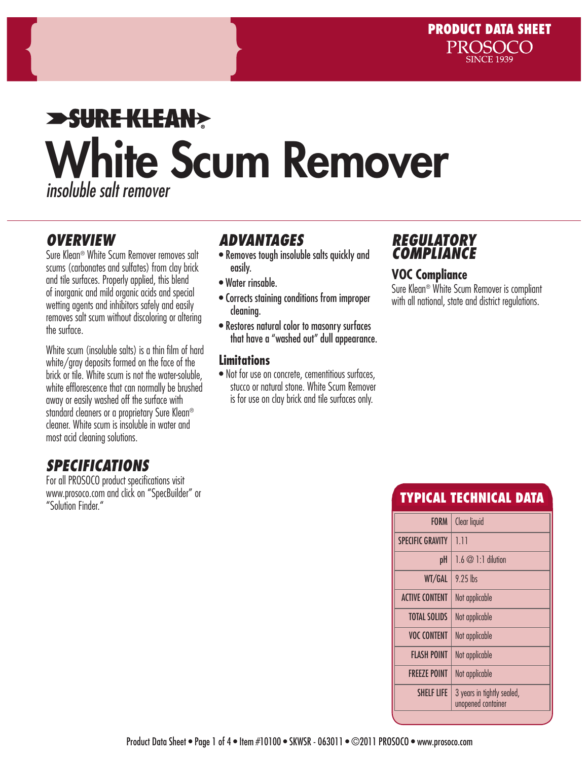# **SURE KLEAN>** White Scum Remover *insoluble salt remover*

### *OVERVIEW*

Sure Klean® White Scum Remover removes salt scums (carbonates and sulfates) from clay brick and tile surfaces. Properly applied, this blend of inorganic and mild organic acids and special wetting agents and inhibitors safely and easily removes salt scum without discoloring or altering the surface.

White scum (insoluble salts) is a thin film of hard white/gray deposits formed on the face of the brick or tile. White scum is not the water-soluble, white efflorescence that can normally be brushed away or easily washed off the surface with standard cleaners or a proprietary Sure Klean® cleaner. White scum is insoluble in water and most acid cleaning solutions.

# *SPECIFICATIONS*

For all PROSOCO product specifications visit www.prosoco.com and click on "SpecBuilder" or "Solution Finder"

# *ADVANTAGES*

- Removes tough insoluble salts quickly and easily.
- Water rinsable.
- Corrects staining conditions from improper cleaning.
- Restores natural color to masonry surfaces that have a "washed out" dull appearance.

#### **Limitations**

• Not for use on concrete, cementitious surfaces, stucco or natural stone. White Scum Remover is for use on clay brick and tile surfaces only.

### *REGULATORY COMPLIANCE*

#### **VOC Compliance**

Sure Klean® White Scum Remover is compliant with all national, state and district regulations.

# TYPICAL TECHNICAL DATA

| Clear liquid                                     |
|--------------------------------------------------|
| 1.11                                             |
| $1.6 \oslash 1.1$ dilution                       |
| $9.25$ lbs                                       |
| Not applicable                                   |
| Not applicable                                   |
| Not applicable                                   |
| Not applicable                                   |
| Not applicable                                   |
| 3 years in tightly sealed,<br>unopened container |
|                                                  |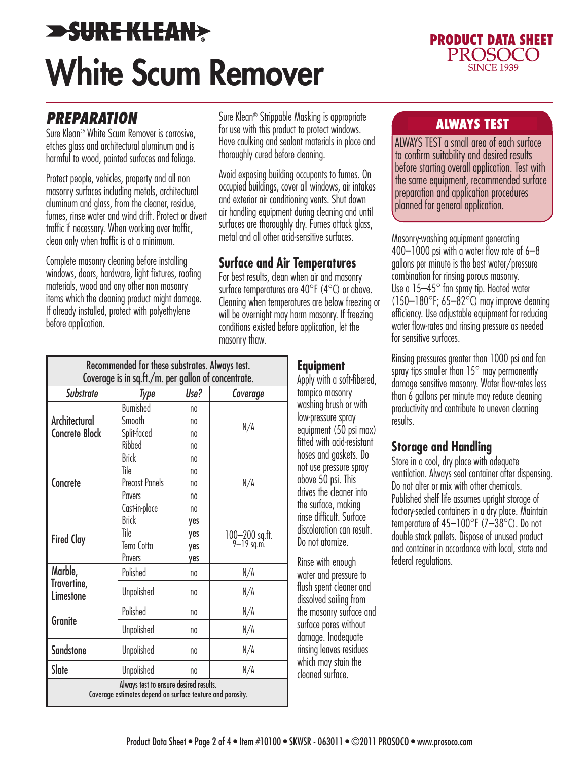# **>SURE KLEAN>** White Scum Remover



## *PREPARATION*

Sure Klean® White Scum Remover is corrosive, etches glass and architectural aluminum and is harmful to wood, painted surfaces and foliage.

Protect people, vehicles, property and all non masonry surfaces including metals, architectural aluminum and glass, from the cleaner, residue, fumes, rinse water and wind drift. Protect or divert traffic if necessary. When working over traffic, clean only when traffic is at a minimum.

Complete masonry cleaning before installing windows, doors, hardware, light fixtures, roofing materials, wood and any other non masonry items which the cleaning product might damage. If already installed, protect with polyethylene before application.

Sure Klean® Strippable Masking is appropriate<br>For you with this product to appropriate windows for use with this product to protect windows. Have caulking and sealant materials in place and thoroughly cured before cleaning.

Avoid exposing building occupants to fumes. On occupied buildings, cover all windows, air intakes and exterior air conditioning vents. Shut down air handling equipment during cleaning and until surfaces are thoroughly dry. Fumes attack glass, metal and all other acid-sensitive surfaces.

#### **Surface and Air Temperatures**

For best results, clean when air and masonry surface temperatures are 40°F (4°C) or above. Cleaning when temperatures are below freezing or will be overnight may harm masonry. If freezing conditions existed before application, let the masonry thaw.

| Recommended for these substrates. Always test.<br>Coverage is in sq.ft./m. per gallon of concentrate. |                       |                |                              |
|-------------------------------------------------------------------------------------------------------|-----------------------|----------------|------------------------------|
| <b>Substrate</b>                                                                                      | Type                  | Use?           | Coverage                     |
| Architectural<br><b>Concrete Block</b><br>Concrete                                                    | <b>Burnished</b>      | n <sub>0</sub> |                              |
|                                                                                                       | Smooth<br>Split-faced | no<br>no       | N/A                          |
|                                                                                                       | Ribbed                | n <sub>0</sub> |                              |
|                                                                                                       | <b>Brick</b>          | n <sub>0</sub> |                              |
|                                                                                                       | Tile                  | n <sub>0</sub> |                              |
|                                                                                                       | <b>Precast Panels</b> | no             | N/A                          |
|                                                                                                       | Pavers                | no             |                              |
|                                                                                                       | Cast-in-place         | n <sub>0</sub> |                              |
| <b>Fired Clay</b>                                                                                     | <b>Brick</b>          | yes            |                              |
|                                                                                                       | Tile                  | yes            | 100-200 sq.ft.<br>9-19 sq.m. |
|                                                                                                       | Terra Cotta           | yes            |                              |
|                                                                                                       | Pavers                | yes            |                              |
| Marble,<br>Travertine,<br>Limestone                                                                   | Polished              | n <sub>0</sub> | N/A                          |
|                                                                                                       | <b>Unpolished</b>     | n <sub>0</sub> | N/A                          |
| Granite                                                                                               | Polished              | n <sub>0</sub> | N/A                          |
|                                                                                                       | <b>Unpolished</b>     | n <sub>0</sub> | N/A                          |
| <b>Sandstone</b>                                                                                      | <b>Unpolished</b>     | n <sub>0</sub> | N/A                          |
| Slate                                                                                                 | <b>Unpolished</b>     | n <sub>0</sub> | N/A                          |
| Always test to ensure desired results.<br>Coverage estimates depend on surface texture and porosity.  |                       |                |                              |

#### **Equipment**

Apply with a soft-fibered, tampico masonry washing brush or with low-pressure spray equipment (50 psi max) fitted with acid-resistant hoses and gaskets. Do not use pressure spray above 50 psi. This drives the cleaner into the surface, making rinse difficult. Surface discoloration can result. Do not atomize.

Rinse with enough water and pressure to flush spent cleaner and dissolved soiling from the masonry surface and surface pores without damage. Inadequate rinsing leaves residues which may stain the cleaned surface.

ALWAYS TEST a small area of each surface to confirm suitability and desired results before starting overall application. Test with the same equipment, recommended surface preparation and application procedures planned for general application.

Masonry-washing equipment generating 400–1000 psi with a water flow rate of 6–8 gallons per minute is the best water/pressure combination for rinsing porous masonry. Use a 15–45° fan spray tip. Heated water  $(150-180^{\circ}F; 65-82^{\circ}C)$  may improve cleaning efficiency. Use adjustable equipment for reducing water flow-rates and rinsing pressure as needed for sensitive surfaces.

Rinsing pressures greater than 1000 psi and fan spray tips smaller than  $15^{\circ}$  may permanently damage sensitive masonry. Water flow-rates less than 6 gallons per minute may reduce cleaning productivity and contribute to uneven cleaning results.

#### **Storage and Handling**

Store in a cool, dry place with adequate ventilation. Always seal container after dispensing. Do not alter or mix with other chemicals. Published shelf life assumes upright storage of factory-sealed containers in a dry place. Maintain temperature of 45–100°F (7–38°C). Do not double stack pallets. Dispose of unused product and container in accordance with local, state and federal regulations.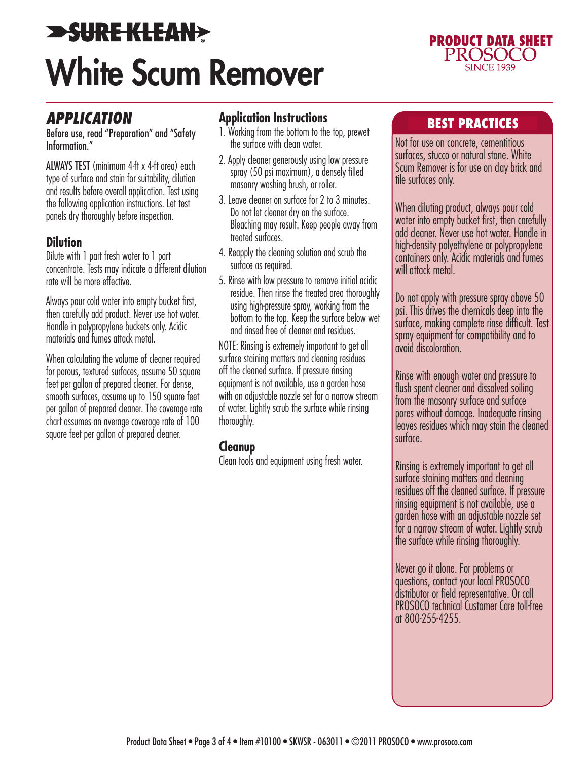# **>SURE KLEAN>** White Scum Remover



### *APPLICATION*

Before use, read "Preparation" and "Safety Information."

ALWAYS TEST (minimum 4-ft x 4-ft area) each type of surface and stain for suitability, dilution and results before overall application. Test using the following application instructions. Let test panels dry thoroughly before inspection.

#### **Dilution**

Dilute with 1 part fresh water to 1 part concentrate. Tests may indicate a different dilution rate will be more effective.

Always pour cold water into empty bucket first, then carefully add product. Never use hot water. Handle in polypropylene buckets only. Acidic materials and fumes attack metal.

When calculating the volume of cleaner required for porous, textured surfaces, assume 50 square feet per gallon of prepared cleaner. For dense, smooth surfaces, assume up to 150 square feet per gallon of prepared cleaner. The coverage rate chart assumes an average coverage rate of 100 square feet per gallon of prepared cleaner.

#### **Application Instructions**

- 1. Working from the bottom to the top, prewet the surface with clean water.
- 2. Apply cleaner generously using low pressure spray (50 psi maximum), a densely filled masonry washing brush, or roller.
- 3. Leave cleaner on surface for 2 to 3 minutes. Do not let cleaner dry on the surface. Bleaching may result. Keep people away from treated surfaces.
- 4. Reapply the cleaning solution and scrub the surface as required.
- 5. Rinse with low pressure to remove initial acidic residue. Then rinse the treated area thoroughly using high-pressure spray, working from the bottom to the top. Keep the surface below wet and rinsed free of cleaner and residues.

NOTE: Rinsing is extremely important to get all surface staining matters and cleaning residues off the cleaned surface. If pressure rinsing equipment is not available, use a garden hose with an adjustable nozzle set for a narrow stream of water. Lightly scrub the surface while rinsing thoroughly.

#### **Cleanup**

Clean tools and equipment using fresh water.

### BEST PRACTICES

Not for use on concrete, cementitious surfaces, stucco or natural stone. White Scum Remover is for use on clay brick and tile surfaces only.

When diluting product, always pour cold water into empty bucket first, then carefully add cleaner. Never use hot water. Handle in high-density polyethylene or polypropylene containers only. Acidic materials and fumes will attack metal.

Do not apply with pressure spray above 50 psi. This drives the chemicals deep into the surface, making complete rinse difficult. Test spray equipment for compatibility and to avoid discoloration.

Rinse with enough water and pressure to flush spent cleaner and dissolved soiling from the masonry surface and surface pores without damage. Inadequate rinsing leaves residues which may stain the cleaned surface.

Rinsing is extremely important to get all surface staining matters and cleaning residues off the cleaned surface. If pressure rinsing equipment is not available, use a garden hose with an adjustable nozzle set for a narrow stream of water. Lightly scrub the surface while rinsing thoroughly.

Never go it alone. For problems or questions, contact your local PROSOCO distributor or field representative. Or call PROSOCO technical Customer Care toll-free at 800-255-4255.